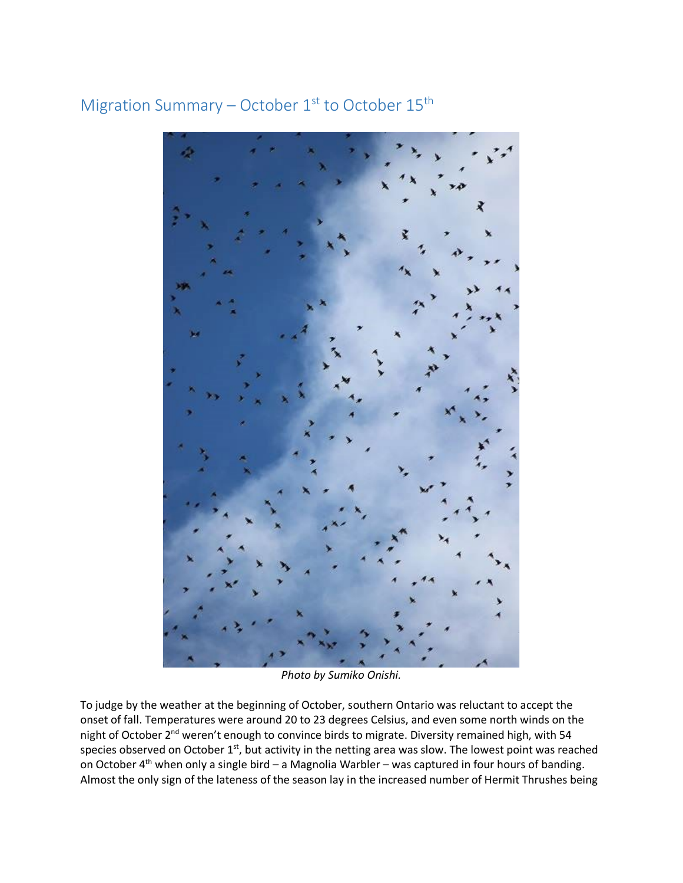## Migration Summary – October  $1<sup>st</sup>$  to October  $15<sup>th</sup>$

*Photo by Sumiko Onishi.*

To judge by the weather at the beginning of October, southern Ontario was reluctant to accept the onset of fall. Temperatures were around 20 to 23 degrees Celsius, and even some north winds on the night of October 2<sup>nd</sup> weren't enough to convince birds to migrate. Diversity remained high, with 54 species observed on October 1<sup>st</sup>, but activity in the netting area was slow. The lowest point was reached on October  $4<sup>th</sup>$  when only a single bird – a Magnolia Warbler – was captured in four hours of banding. Almost the only sign of the lateness of the season lay in the increased number of Hermit Thrushes being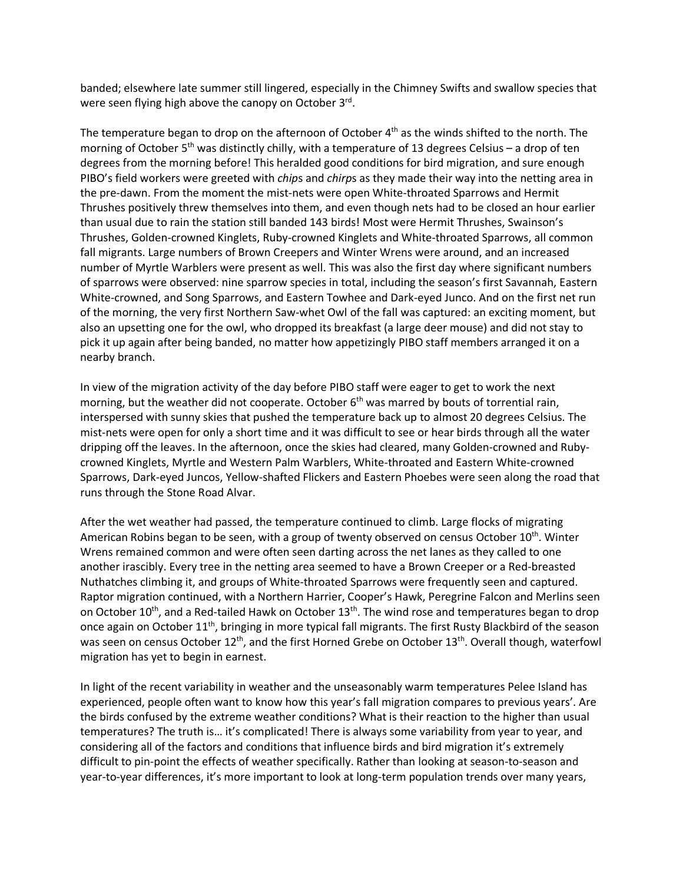banded; elsewhere late summer still lingered, especially in the Chimney Swifts and swallow species that were seen flying high above the canopy on October 3<sup>rd</sup>.

The temperature began to drop on the afternoon of October  $4<sup>th</sup>$  as the winds shifted to the north. The morning of October  $5<sup>th</sup>$  was distinctly chilly, with a temperature of 13 degrees Celsius – a drop of ten degrees from the morning before! This heralded good conditions for bird migration, and sure enough PIBO's field workers were greeted with *chip*s and *chirp*s as they made their way into the netting area in the pre-dawn. From the moment the mist-nets were open White-throated Sparrows and Hermit Thrushes positively threw themselves into them, and even though nets had to be closed an hour earlier than usual due to rain the station still banded 143 birds! Most were Hermit Thrushes, Swainson's Thrushes, Golden-crowned Kinglets, Ruby-crowned Kinglets and White-throated Sparrows, all common fall migrants. Large numbers of Brown Creepers and Winter Wrens were around, and an increased number of Myrtle Warblers were present as well. This was also the first day where significant numbers of sparrows were observed: nine sparrow species in total, including the season's first Savannah, Eastern White-crowned, and Song Sparrows, and Eastern Towhee and Dark-eyed Junco. And on the first net run of the morning, the very first Northern Saw-whet Owl of the fall was captured: an exciting moment, but also an upsetting one for the owl, who dropped its breakfast (a large deer mouse) and did not stay to pick it up again after being banded, no matter how appetizingly PIBO staff members arranged it on a nearby branch.

In view of the migration activity of the day before PIBO staff were eager to get to work the next morning, but the weather did not cooperate. October  $6<sup>th</sup>$  was marred by bouts of torrential rain, interspersed with sunny skies that pushed the temperature back up to almost 20 degrees Celsius. The mist-nets were open for only a short time and it was difficult to see or hear birds through all the water dripping off the leaves. In the afternoon, once the skies had cleared, many Golden-crowned and Rubycrowned Kinglets, Myrtle and Western Palm Warblers, White-throated and Eastern White-crowned Sparrows, Dark-eyed Juncos, Yellow-shafted Flickers and Eastern Phoebes were seen along the road that runs through the Stone Road Alvar.

After the wet weather had passed, the temperature continued to climb. Large flocks of migrating American Robins began to be seen, with a group of twenty observed on census October  $10^{th}$ . Winter Wrens remained common and were often seen darting across the net lanes as they called to one another irascibly. Every tree in the netting area seemed to have a Brown Creeper or a Red-breasted Nuthatches climbing it, and groups of White-throated Sparrows were frequently seen and captured. Raptor migration continued, with a Northern Harrier, Cooper's Hawk, Peregrine Falcon and Merlins seen on October 10<sup>th</sup>, and a Red-tailed Hawk on October 13<sup>th</sup>. The wind rose and temperatures began to drop once again on October  $11^{th}$ , bringing in more typical fall migrants. The first Rusty Blackbird of the season was seen on census October 12<sup>th</sup>, and the first Horned Grebe on October 13<sup>th</sup>. Overall though, waterfowl migration has yet to begin in earnest.

In light of the recent variability in weather and the unseasonably warm temperatures Pelee Island has experienced, people often want to know how this year's fall migration compares to previous years'. Are the birds confused by the extreme weather conditions? What is their reaction to the higher than usual temperatures? The truth is… it's complicated! There is always some variability from year to year, and considering all of the factors and conditions that influence birds and bird migration it's extremely difficult to pin-point the effects of weather specifically. Rather than looking at season-to-season and year-to-year differences, it's more important to look at long-term population trends over many years,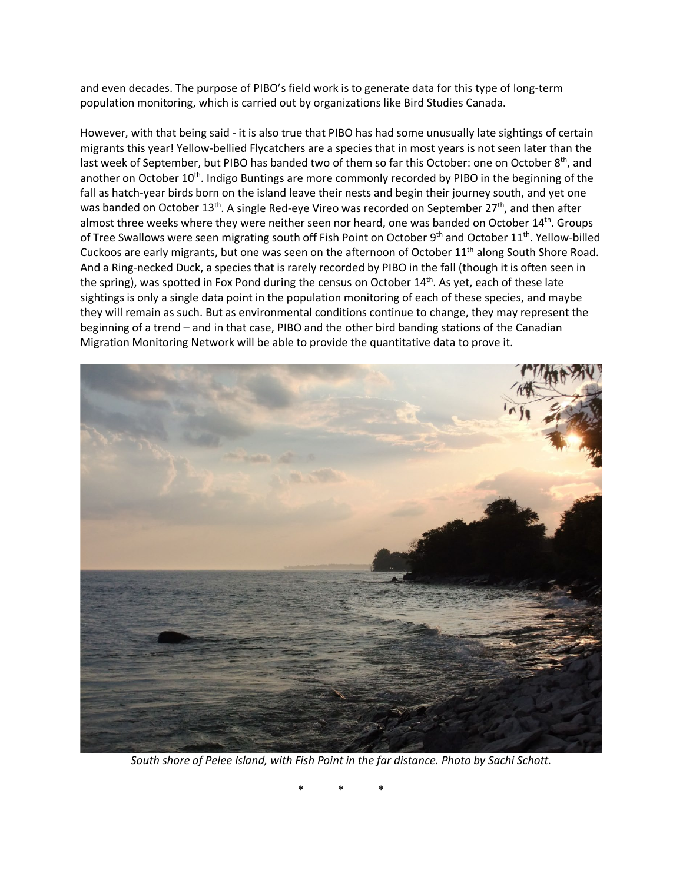and even decades. The purpose of PIBO's field work is to generate data for this type of long-term population monitoring, which is carried out by organizations like Bird Studies Canada.

However, with that being said - it is also true that PIBO has had some unusually late sightings of certain migrants this year! Yellow-bellied Flycatchers are a species that in most years is not seen later than the last week of September, but PIBO has banded two of them so far this October: one on October 8<sup>th</sup>, and another on October 10<sup>th</sup>. Indigo Buntings are more commonly recorded by PIBO in the beginning of the fall as hatch-year birds born on the island leave their nests and begin their journey south, and yet one was banded on October  $13<sup>th</sup>$ . A single Red-eye Vireo was recorded on September 27<sup>th</sup>, and then after almost three weeks where they were neither seen nor heard, one was banded on October 14<sup>th</sup>. Groups of Tree Swallows were seen migrating south off Fish Point on October 9<sup>th</sup> and October 11<sup>th</sup>. Yellow-billed Cuckoos are early migrants, but one was seen on the afternoon of October 11<sup>th</sup> along South Shore Road. And a Ring-necked Duck, a species that is rarely recorded by PIBO in the fall (though it is often seen in the spring), was spotted in Fox Pond during the census on October 14<sup>th</sup>. As yet, each of these late sightings is only a single data point in the population monitoring of each of these species, and maybe they will remain as such. But as environmental conditions continue to change, they may represent the beginning of a trend – and in that case, PIBO and the other bird banding stations of the Canadian Migration Monitoring Network will be able to provide the quantitative data to prove it.



*South shore of Pelee Island, with Fish Point in the far distance. Photo by Sachi Schott.*

\* \* \*